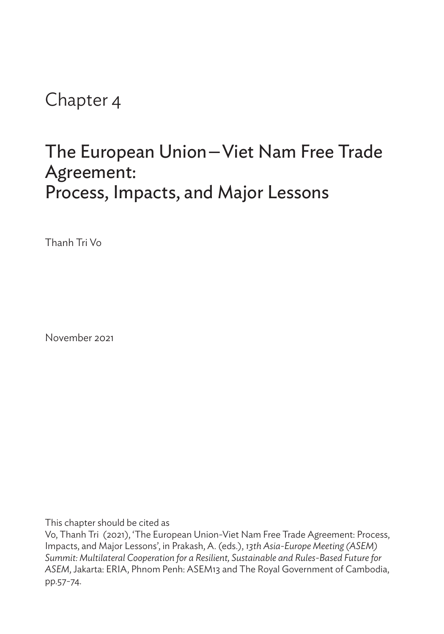Chapter 4

## The European Union—Viet Nam Free Trade Agreement: Process, Impacts, and Major Lessons

Thanh Tri Vo

November 2021

This chapter should be cited as

Vo, Thanh Tri (2021), 'The European Union-Viet Nam Free Trade Agreement: Process, Impacts, and Major Lessons', in Prakash, A. (eds.), *13th Asia-Europe Meeting (ASEM) Summit: Multilateral Cooperation for a Resilient, Sustainable and Rules-Based Future for ASEM*, Jakarta: ERIA, Phnom Penh: ASEM13 and The Royal Government of Cambodia, pp.57-74.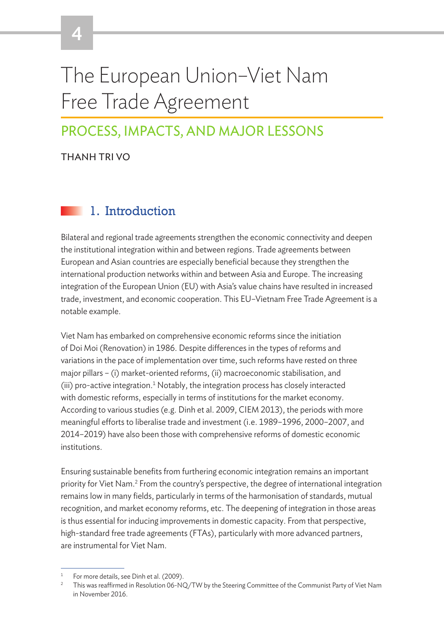# The European Union–Viet Nam Free Trade Agreement

## PROCESS, IMPACTS, AND MAJOR LESSONS

THANH TRI VO

4

## 1. Introduction

Bilateral and regional trade agreements strengthen the economic connectivity and deepen the institutional integration within and between regions. Trade agreements between European and Asian countries are especially beneficial because they strengthen the international production networks within and between Asia and Europe. The increasing integration of the European Union (EU) with Asia's value chains have resulted in increased trade, investment, and economic cooperation. This EU–Vietnam Free Trade Agreement is a notable example.

Viet Nam has embarked on comprehensive economic reforms since the initiation of Doi Moi (Renovation) in 1986. Despite differences in the types of reforms and variations in the pace of implementation over time, such reforms have rested on three major pillars – (i) market-oriented reforms, (ii) macroeconomic stabilisation, and  $(iii)$  pro-active integration.<sup>1</sup> Notably, the integration process has closely interacted with domestic reforms, especially in terms of institutions for the market economy. According to various studies (e.g. Dinh et al. 2009, CIEM 2013), the periods with more meaningful efforts to liberalise trade and investment (i.e. 1989–1996, 2000–2007, and 2014–2019) have also been those with comprehensive reforms of domestic economic institutions.

Ensuring sustainable benefits from furthering economic integration remains an important priority for Viet Nam.<sup>2</sup> From the country's perspective, the degree of international integration remains low in many fields, particularly in terms of the harmonisation of standards, mutual recognition, and market economy reforms, etc. The deepening of integration in those areas is thus essential for inducing improvements in domestic capacity. From that perspective, high-standard free trade agreements (FTAs), particularly with more advanced partners, are instrumental for Viet Nam.

For more details, see Dinh et al. (2009).

<sup>&</sup>lt;sup>2</sup> This was reaffirmed in Resolution 06-NQ/TW by the Steering Committee of the Communist Party of Viet Nam in November 2016.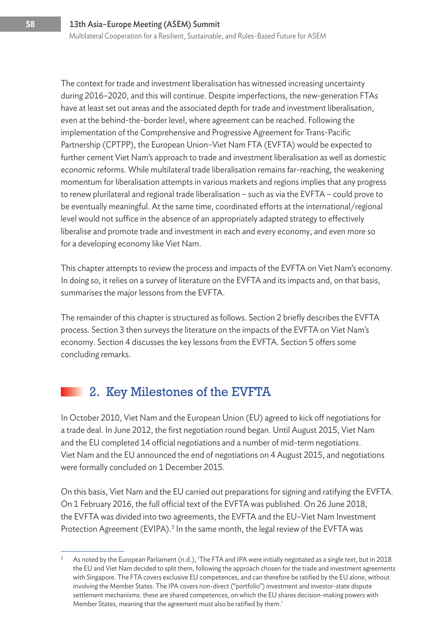The context for trade and investment liberalisation has witnessed increasing uncertainty during 2016–2020, and this will continue. Despite imperfections, the new-generation FTAs have at least set out areas and the associated depth for trade and investment liberalisation, even at the behind-the-border level, where agreement can be reached. Following the implementation of the Comprehensive and Progressive Agreement for Trans-Pacific Partnership (CPTPP), the European Union–Viet Nam FTA (EVFTA) would be expected to further cement Viet Nam's approach to trade and investment liberalisation as well as domestic economic reforms. While multilateral trade liberalisation remains far-reaching, the weakening momentum for liberalisation attempts in various markets and regions implies that any progress to renew plurilateral and regional trade liberalisation – such as via the EVFTA – could prove to be eventually meaningful. At the same time, coordinated efforts at the international/regional level would not suffice in the absence of an appropriately adapted strategy to effectively liberalise and promote trade and investment in each and every economy, and even more so for a developing economy like Viet Nam.

This chapter attempts to review the process and impacts of the EVFTA on Viet Nam's economy. In doing so, it relies on a survey of literature on the EVFTA and its impacts and, on that basis, summarises the major lessons from the EVFTA.

The remainder of this chapter is structured as follows. Section 2 briefly describes the EVFTA process. Section 3 then surveys the literature on the impacts of the EVFTA on Viet Nam's economy. Section 4 discusses the key lessons from the EVFTA. Section 5 offers some concluding remarks.

## 2. Key Milestones of the EVFTA

In October 2010, Viet Nam and the European Union (EU) agreed to kick off negotiations for a trade deal. In June 2012, the first negotiation round began. Until August 2015, Viet Nam and the EU completed 14 official negotiations and a number of mid-term negotiations. Viet Nam and the EU announced the end of negotiations on 4 August 2015, and negotiations were formally concluded on 1 December 2015.

On this basis, Viet Nam and the EU carried out preparations for signing and ratifying the EVFTA. On 1 February 2016, the full official text of the EVFTA was published. On 26 June 2018, the EVFTA was divided into two agreements, the EVFTA and the EU–Viet Nam Investment Protection Agreement (EVIPA).<sup>3</sup> In the same month, the legal review of the EVFTA was

 $3$  As noted by the European Parliament (n.d.), 'The FTA and IPA were initially negotiated as a single text, but in 2018 the EU and Viet Nam decided to split them, following the approach chosen for the trade and investment agreements with Singapore. The FTA covers exclusive EU competences, and can therefore be ratified by the EU alone, without involving the Member States. The IPA covers non-direct ("portfolio") investment and investor-state dispute settlement mechanisms: these are shared competences, on which the EU shares decision-making powers with Member States, meaning that the agreement must also be ratified by them.'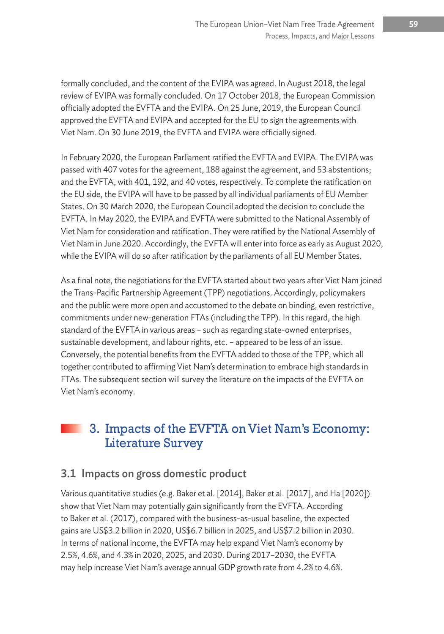formally concluded, and the content of the EVIPA was agreed. In August 2018, the legal review of EVIPA was formally concluded. On 17 October 2018, the European Commission officially adopted the EVFTA and the EVIPA. On 25 June, 2019, the European Council approved the EVFTA and EVIPA and accepted for the EU to sign the agreements with Viet Nam. On 30 June 2019, the EVFTA and EVIPA were officially signed.

In February 2020, the European Parliament ratified the EVFTA and EVIPA. The EVIPA was passed with 407 votes for the agreement, 188 against the agreement, and 53 abstentions; and the EVFTA, with 401, 192, and 40 votes, respectively. To complete the ratification on the EU side, the EVIPA will have to be passed by all individual parliaments of EU Member States. On 30 March 2020, the European Council adopted the decision to conclude the EVFTA. In May 2020, the EVIPA and EVFTA were submitted to the National Assembly of Viet Nam for consideration and ratification. They were ratified by the National Assembly of Viet Nam in June 2020. Accordingly, the EVFTA will enter into force as early as August 2020, while the EVIPA will do so after ratification by the parliaments of all EU Member States.

As a final note, the negotiations for the EVFTA started about two years after Viet Nam joined the Trans-Pacific Partnership Agreement (TPP) negotiations. Accordingly, policymakers and the public were more open and accustomed to the debate on binding, even restrictive, commitments under new-generation FTAs (including the TPP). In this regard, the high standard of the EVFTA in various areas – such as regarding state-owned enterprises, sustainable development, and labour rights, etc. – appeared to be less of an issue. Conversely, the potential benefits from the EVFTA added to those of the TPP, which all together contributed to affirming Viet Nam's determination to embrace high standards in FTAs. The subsequent section will survey the literature on the impacts of the EVFTA on Viet Nam's economy.

### 3. Impacts of the EVFTA on Viet Nam's Economy: Literature Survey

#### 3.1 Impacts on gross domestic product

Various quantitative studies (e.g. Baker et al. [2014], Baker et al. [2017], and Ha [2020]) show that Viet Nam may potentially gain significantly from the EVFTA. According to Baker et al. (2017), compared with the business-as-usual baseline, the expected gains are US\$3.2 billion in 2020, US\$6.7 billion in 2025, and US\$7.2 billion in 2030. In terms of national income, the EVFTA may help expand Viet Nam's economy by 2.5%, 4.6%, and 4.3% in 2020, 2025, and 2030. During 2017–2030, the EVFTA may help increase Viet Nam's average annual GDP growth rate from 4.2% to 4.6%.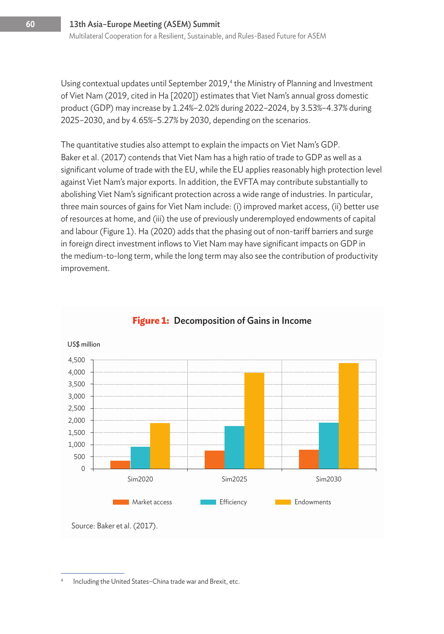Using contextual updates until September 2019,<sup>4</sup> the Ministry of Planning and Investment of Viet Nam (2019, cited in Ha [2020]) estimates that Viet Nam's annual gross domestic product (GDP) may increase by 1.24%–2.02% during 2022–2024, by 3.53%–4.37% during 2025–2030, and by 4.65%–5.27% by 2030, depending on the scenarios.

The quantitative studies also attempt to explain the impacts on Viet Nam's GDP. Baker et al. (2017) contends that Viet Nam has a high ratio of trade to GDP as well as a significant volume of trade with the EU, while the EU applies reasonably high protection level against Viet Nam's major exports. In addition, the EVFTA may contribute substantially to abolishing Viet Nam's significant protection across a wide range of industries. In particular, three main sources of gains for Viet Nam include: (i) improved market access, (ii) better use of resources at home, and (iii) the use of previously underemployed endowments of capital and labour (Figure 1). Ha (2020) adds that the phasing out of non-tariff barriers and surge in foreign direct investment inflows to Viet Nam may have significant impacts on GDP in the medium-to-long term, while the long term may also see the contribution of productivity improvement.



#### **Figure 1:** Decomposition of Gains in Income

Including the United States-China trade war and Brexit, etc.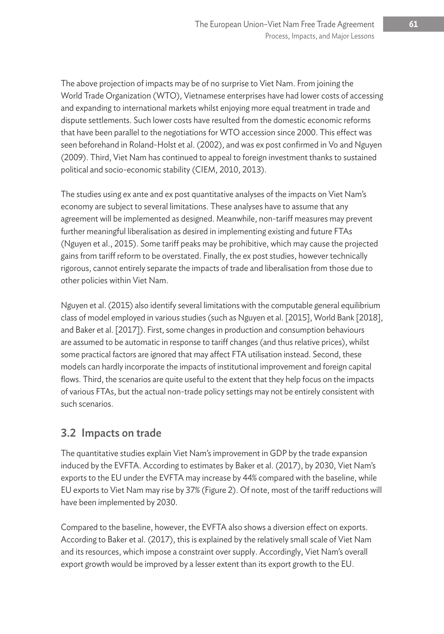The above projection of impacts may be of no surprise to Viet Nam. From joining the World Trade Organization (WTO), Vietnamese enterprises have had lower costs of accessing and expanding to international markets whilst enjoying more equal treatment in trade and dispute settlements. Such lower costs have resulted from the domestic economic reforms that have been parallel to the negotiations for WTO accession since 2000. This effect was seen beforehand in Roland-Holst et al. (2002), and was ex post confirmed in Vo and Nguyen (2009). Third, Viet Nam has continued to appeal to foreign investment thanks to sustained political and socio-economic stability (CIEM, 2010, 2013).

The studies using ex ante and ex post quantitative analyses of the impacts on Viet Nam's economy are subject to several limitations. These analyses have to assume that any agreement will be implemented as designed. Meanwhile, non-tariff measures may prevent further meaningful liberalisation as desired in implementing existing and future FTAs (Nguyen et al., 2015). Some tariff peaks may be prohibitive, which may cause the projected gains from tariff reform to be overstated. Finally, the ex post studies, however technically rigorous, cannot entirely separate the impacts of trade and liberalisation from those due to other policies within Viet Nam.

Nguyen et al. (2015) also identify several limitations with the computable general equilibrium class of model employed in various studies (such as Nguyen et al. [2015], World Bank [2018], and Baker et al. [2017]). First, some changes in production and consumption behaviours are assumed to be automatic in response to tariff changes (and thus relative prices), whilst some practical factors are ignored that may affect FTA utilisation instead. Second, these models can hardly incorporate the impacts of institutional improvement and foreign capital flows. Third, the scenarios are quite useful to the extent that they help focus on the impacts of various FTAs, but the actual non-trade policy settings may not be entirely consistent with such scenarios.

#### 3.2 Impacts on trade

The quantitative studies explain Viet Nam's improvement in GDP by the trade expansion induced by the EVFTA. According to estimates by Baker et al. (2017), by 2030, Viet Nam's exports to the EU under the EVFTA may increase by 44% compared with the baseline, while EU exports to Viet Nam may rise by 37% (Figure 2). Of note, most of the tariff reductions will have been implemented by 2030.

Compared to the baseline, however, the EVFTA also shows a diversion effect on exports. According to Baker et al. (2017), this is explained by the relatively small scale of Viet Nam and its resources, which impose a constraint over supply. Accordingly, Viet Nam's overall export growth would be improved by a lesser extent than its export growth to the EU.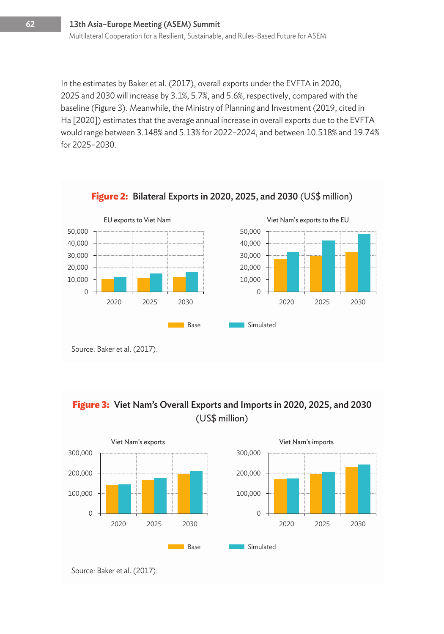In the estimates by Baker et al. (2017), overall exports under the EVFTA in 2020, 2025 and 2030 will increase by 3.1%, 5.7%, and 5.6%, respectively, compared with the baseline (Figure 3). Meanwhile, the Ministry of Planning and Investment (2019, cited in Ha [2020]) estimates that the average annual increase in overall exports due to the EVFTA would range between 3.148% and 5.13% for 2022–2024, and between 10.518% and 19.74% for 2025–2030.



**Figure 3:** Viet Nam's Overall Exports and Imports in 2020, 2025, and 2030 (US\$ million)

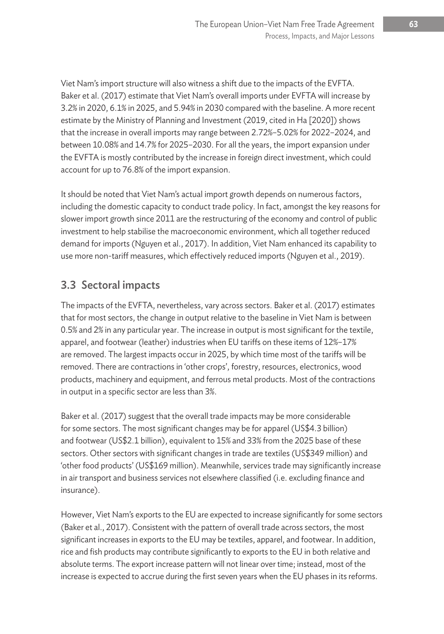Viet Nam's import structure will also witness a shift due to the impacts of the EVFTA. Baker et al. (2017) estimate that Viet Nam's overall imports under EVFTA will increase by 3.2% in 2020, 6.1% in 2025, and 5.94% in 2030 compared with the baseline. A more recent estimate by the Ministry of Planning and Investment (2019, cited in Ha [2020]) shows that the increase in overall imports may range between 2.72%–5.02% for 2022–2024, and between 10.08% and 14.7% for 2025–2030. For all the years, the import expansion under the EVFTA is mostly contributed by the increase in foreign direct investment, which could account for up to 76.8% of the import expansion.

It should be noted that Viet Nam's actual import growth depends on numerous factors, including the domestic capacity to conduct trade policy. In fact, amongst the key reasons for slower import growth since 2011 are the restructuring of the economy and control of public investment to help stabilise the macroeconomic environment, which all together reduced demand for imports (Nguyen et al., 2017). In addition, Viet Nam enhanced its capability to use more non-tariff measures, which effectively reduced imports (Nguyen et al., 2019).

#### 3.3 Sectoral impacts

The impacts of the EVFTA, nevertheless, vary across sectors. Baker et al. (2017) estimates that for most sectors, the change in output relative to the baseline in Viet Nam is between 0.5% and 2% in any particular year. The increase in output is most significant for the textile, apparel, and footwear (leather) industries when EU tariffs on these items of 12%–17% are removed. The largest impacts occur in 2025, by which time most of the tariffs will be removed. There are contractions in 'other crops', forestry, resources, electronics, wood products, machinery and equipment, and ferrous metal products. Most of the contractions in output in a specific sector are less than 3%.

Baker et al. (2017) suggest that the overall trade impacts may be more considerable for some sectors. The most significant changes may be for apparel (US\$4.3 billion) and footwear (US\$2.1 billion), equivalent to 15% and 33% from the 2025 base of these sectors. Other sectors with significant changes in trade are textiles (US\$349 million) and 'other food products' (US\$169 million). Meanwhile, services trade may significantly increase in air transport and business services not elsewhere classified (i.e. excluding finance and insurance).

However, Viet Nam's exports to the EU are expected to increase significantly for some sectors (Baker et al., 2017). Consistent with the pattern of overall trade across sectors, the most significant increases in exports to the EU may be textiles, apparel, and footwear. In addition, rice and fish products may contribute significantly to exports to the EU in both relative and absolute terms. The export increase pattern will not linear over time; instead, most of the increase is expected to accrue during the first seven years when the EU phases in its reforms.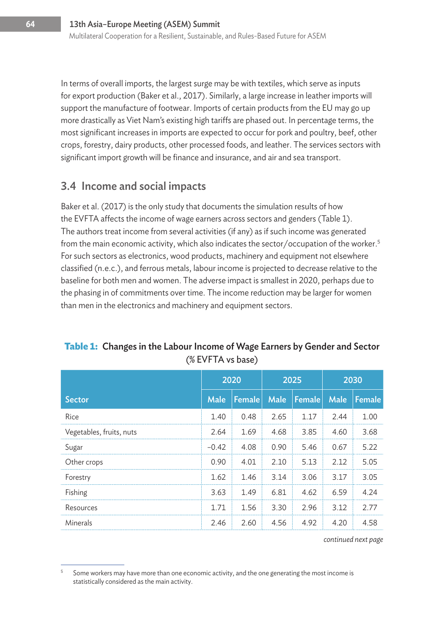In terms of overall imports, the largest surge may be with textiles, which serve as inputs for export production (Baker et al., 2017). Similarly, a large increase in leather imports will support the manufacture of footwear. Imports of certain products from the EU may go up more drastically as Viet Nam's existing high tariffs are phased out. In percentage terms, the most significant increases in imports are expected to occur for pork and poultry, beef, other crops, forestry, dairy products, other processed foods, and leather. The services sectors with significant import growth will be finance and insurance, and air and sea transport.

#### 3.4 Income and social impacts

Baker et al. (2017) is the only study that documents the simulation results of how the EVFTA affects the income of wage earners across sectors and genders (Table 1). The authors treat income from several activities (if any) as if such income was generated from the main economic activity, which also indicates the sector/occupation of the worker.<sup>5</sup> For such sectors as electronics, wood products, machinery and equipment not elsewhere classified (n.e.c.), and ferrous metals, labour income is projected to decrease relative to the baseline for both men and women. The adverse impact is smallest in 2020, perhaps due to the phasing in of commitments over time. The income reduction may be larger for women than men in the electronics and machinery and equipment sectors.

|                          | 2020    |        | 2025 |               | 2030 |        |
|--------------------------|---------|--------|------|---------------|------|--------|
| <b>Sector</b>            | Male    | Female | Male | <b>Female</b> | Male | Female |
| Rice                     | 1.40    | 0.48   | 2.65 | 1.17          | 2.44 | 1.00   |
| Vegetables, fruits, nuts | 2.64    | 1.69   | 4.68 | 3.85          | 4.60 | 3.68   |
| Sugar                    | $-0.42$ | 4.08   | 0.90 | 5.46          | 0.67 | 5.22   |
| Other crops              | 0.90    | 4.01   | 2.10 | 5.13          | 2.12 | 5.05   |
| Forestry                 | 1.62    | 1.46   | 3.14 | 3.06          | 3.17 | 3.05   |
| Fishing                  | 3.63    | 1.49   | 6.81 | 4.62          | 6.59 | 4.24   |
| Resources                | 1.71    | 1.56   | 3.30 | 2.96          | 3.12 | 2.77   |
| Minerals                 | 2.46    | 2.60   | 4.56 | 4.92          | 4.20 | 4.58   |

#### **Table 1:** Changes in the Labour Income of Wage Earners by Gender and Sector (% EVFTA vs base)

*continued next page*

<sup>5</sup> Some workers may have more than one economic activity, and the one generating the most income is statistically considered as the main activity.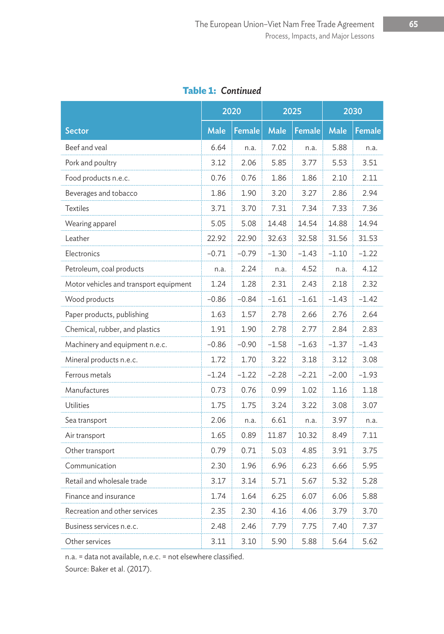**Table 1:** *Continued*

|                                        | 2020        |               | 2025        |               | 2030        |         |
|----------------------------------------|-------------|---------------|-------------|---------------|-------------|---------|
| Sector                                 | <b>Male</b> | <b>Female</b> | <b>Male</b> | <b>Female</b> | <b>Male</b> | Female  |
| Beef and veal                          | 6.64        | n.a.          | 7.02        | n.a.          | 5.88        | n.a.    |
| Pork and poultry                       | 3.12        | 2.06          | 5.85        | 3.77          | 5.53        | 3.51    |
| Food products n.e.c.                   | 0.76        | 0.76          | 1.86        | 1.86          | 2.10        | 2.11    |
| Beverages and tobacco                  | 1.86        | 1.90          | 3.20        | 3.27          | 2.86        | 2.94    |
| <b>Textiles</b>                        | 3.71        | 3.70          | 7.31        | 7.34          | 7.33        | 7.36    |
| Wearing apparel                        | 5.05        | 5.08          | 14.48       | 14.54         | 14.88       | 14.94   |
| Leather                                | 22.92       | 22.90         | 32.63       | 32.58         | 31.56       | 31.53   |
| Electronics                            | $-0.71$     | $-0.79$       | $-1.30$     | $-1.43$       | $-1.10$     | $-1.22$ |
| Petroleum, coal products               | n.a.        | 2.24          | n.a.        | 4.52          | n.a.        | 4.12    |
| Motor vehicles and transport equipment | 1.24        | 1.28          | 2.31        | 2.43          | 2.18        | 2.32    |
| Wood products                          | $-0.86$     | $-0.84$       | $-1.61$     | $-1.61$       | $-1.43$     | $-1.42$ |
| Paper products, publishing             | 1.63        | 1.57          | 2.78        | 2.66          | 2.76        | 2.64    |
| Chemical, rubber, and plastics         | 1.91        | 1.90          | 2.78        | 2.77          | 2.84        | 2.83    |
| Machinery and equipment n.e.c.         | -0.86       | $-0.90$       | $-1.58$     | $-1.63$       | $-1.37$     | $-1.43$ |
| Mineral products n.e.c.                | 1.72        | 1.70          | 3.22        | 3.18          | 3.12        | 3.08    |
| Ferrous metals                         | -1.24       | $-1.22$       | $-2.28$     | $-2.21$       | $-2.00$     | $-1.93$ |
| Manufactures                           | 0.73        | 0.76          | 0.99        | 1.02          | 1.16        | 1.18    |
| Utilities                              | 1.75        | 1.75          | 3.24        | 3.22          | 3.08        | 3.07    |
| Sea transport                          | 2.06        | n.a.          | 6.61        | n.a.          | 3.97        | n.a.    |
| Air transport                          | 1.65        | 0.89          | 11.87       | 10.32         | 8.49        | 7.11    |
| Other transport                        | 0.79        | 0.71          | 5.03        | 4.85          | 3.91        | 3.75    |
| Communication                          | 2.30        | 1.96          | 6.96        | 6.23          | 6.66        | 5.95    |
| Retail and wholesale trade             | 3.17        | 3.14          | 5.71        | 5.67          | 5.32        | 5.28    |
| Finance and insurance                  | 1.74        | 1.64          | 6.25        | 6.07          | 6.06        | 5.88    |
| Recreation and other services          | 2.35        | 2.30          | 4.16        | 4.06          | 3.79        | 3.70    |
| Business services n.e.c.               | 2.48        | 2.46          | 7.79        | 7.75          | 7.40        | 7.37    |
| Other services                         | 3.11        | 3.10          | 5.90        | 5.88          | 5.64        | 5.62    |

n.a. = data not available, n.e.c. = not elsewhere classified.

Source: Baker et al. (2017).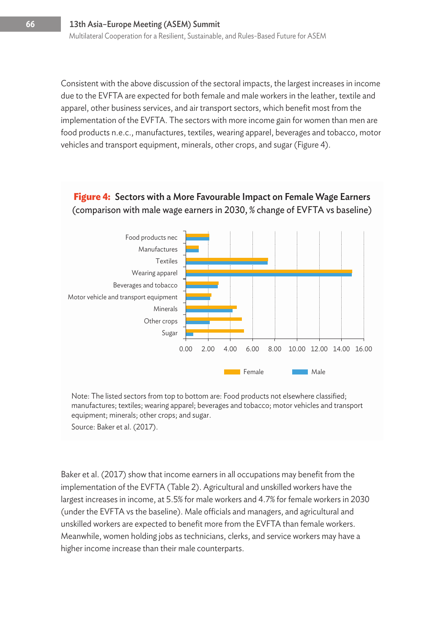Consistent with the above discussion of the sectoral impacts, the largest increases in income due to the EVFTA are expected for both female and male workers in the leather, textile and apparel, other business services, and air transport sectors, which benefit most from the implementation of the EVFTA. The sectors with more income gain for women than men are food products n.e.c., manufactures, textiles, wearing apparel, beverages and tobacco, motor vehicles and transport equipment, minerals, other crops, and sugar (Figure 4).

#### **Figure 4:** Sectors with a More Favourable Impact on Female Wage Earners (comparison with male wage earners in 2030, % change of EVFTA vs baseline)



Note: The listed sectors from top to bottom are: Food products not elsewhere classified; manufactures; textiles; wearing apparel; beverages and tobacco; motor vehicles and transport equipment; minerals; other crops; and sugar.

Source: Baker et al. (2017).

Baker et al. (2017) show that income earners in all occupations may benefit from the implementation of the EVFTA (Table 2). Agricultural and unskilled workers have the largest increases in income, at 5.5% for male workers and 4.7% for female workers in 2030 (under the EVFTA vs the baseline). Male officials and managers, and agricultural and unskilled workers are expected to benefit more from the EVFTA than female workers. Meanwhile, women holding jobs as technicians, clerks, and service workers may have a higher income increase than their male counterparts.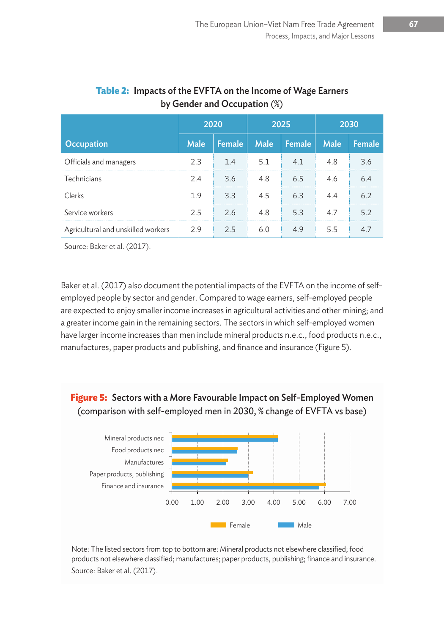|                                    | 2020        |        | 2025        |        | 2030        |        |
|------------------------------------|-------------|--------|-------------|--------|-------------|--------|
| Occupation                         | <b>Male</b> | Female | <b>Male</b> | Female | <b>Male</b> | Female |
| Officials and managers             | 2.3         | 1.4    | 5.1         |        | 4.8         | 3.6    |
| Technicians                        | 2.4         | 3.6    | 4.8         | 6.5    | 4.6         | 6.4    |
| Clerks                             | 1.9         | 3.3    | 4.5         | 6.3    | 44          | 6.2    |
| Service workers                    | 2.5         | 2.6    | 4.8         | 5.3    |             | 5.2    |
| Agricultural and unskilled workers | 2.9         | 2.5    |             |        | 5.5         |        |

#### **Table 2:** Impacts of the EVFTA on the Income of Wage Earners by Gender and Occupation (%)

Source: Baker et al. (2017).

Baker et al. (2017) also document the potential impacts of the EVFTA on the income of selfemployed people by sector and gender. Compared to wage earners, self-employed people are expected to enjoy smaller income increases in agricultural activities and other mining; and a greater income gain in the remaining sectors. The sectors in which self-employed women have larger income increases than men include mineral products n.e.c., food products n.e.c., manufactures, paper products and publishing, and finance and insurance (Figure 5).





Note: The listed sectors from top to bottom are: Mineral products not elsewhere classified; food products not elsewhere classified; manufactures; paper products, publishing; finance and insurance. Source: Baker et al. (2017).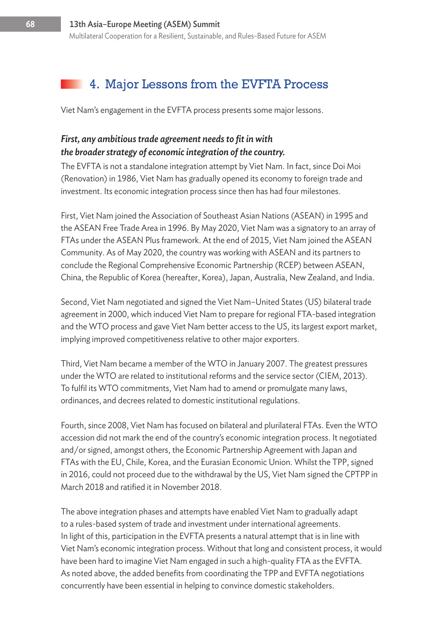## 4. Major Lessons from the EVFTA Process

Viet Nam's engagement in the EVFTA process presents some major lessons.

#### *First, any ambitious trade agreement needs to fit in with the broader strategy of economic integration of the country.*

The EVFTA is not a standalone integration attempt by Viet Nam. In fact, since Doi Moi (Renovation) in 1986, Viet Nam has gradually opened its economy to foreign trade and investment. Its economic integration process since then has had four milestones.

First, Viet Nam joined the Association of Southeast Asian Nations (ASEAN) in 1995 and the ASEAN Free Trade Area in 1996. By May 2020, Viet Nam was a signatory to an array of FTAs under the ASEAN Plus framework. At the end of 2015, Viet Nam joined the ASEAN Community. As of May 2020, the country was working with ASEAN and its partners to conclude the Regional Comprehensive Economic Partnership (RCEP) between ASEAN, China, the Republic of Korea (hereafter, Korea), Japan, Australia, New Zealand, and India.

Second, Viet Nam negotiated and signed the Viet Nam–United States (US) bilateral trade agreement in 2000, which induced Viet Nam to prepare for regional FTA-based integration and the WTO process and gave Viet Nam better access to the US, its largest export market, implying improved competitiveness relative to other major exporters.

Third, Viet Nam became a member of the WTO in January 2007. The greatest pressures under the WTO are related to institutional reforms and the service sector (CIEM, 2013). To fulfil its WTO commitments, Viet Nam had to amend or promulgate many laws, ordinances, and decrees related to domestic institutional regulations.

Fourth, since 2008, Viet Nam has focused on bilateral and plurilateral FTAs. Even the WTO accession did not mark the end of the country's economic integration process. It negotiated and/or signed, amongst others, the Economic Partnership Agreement with Japan and FTAs with the EU, Chile, Korea, and the Eurasian Economic Union. Whilst the TPP, signed in 2016, could not proceed due to the withdrawal by the US, Viet Nam signed the CPTPP in March 2018 and ratified it in November 2018.

The above integration phases and attempts have enabled Viet Nam to gradually adapt to a rules-based system of trade and investment under international agreements. In light of this, participation in the EVFTA presents a natural attempt that is in line with Viet Nam's economic integration process. Without that long and consistent process, it would have been hard to imagine Viet Nam engaged in such a high-quality FTA as the EVFTA. As noted above, the added benefits from coordinating the TPP and EVFTA negotiations concurrently have been essential in helping to convince domestic stakeholders.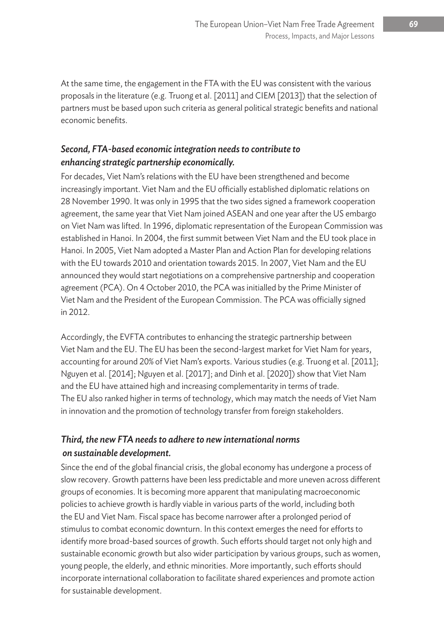At the same time, the engagement in the FTA with the EU was consistent with the various proposals in the literature (e.g. Truong et al. [2011] and CIEM [2013]) that the selection of partners must be based upon such criteria as general political strategic benefits and national economic benefits.

#### *Second, FTA-based economic integration needs to contribute to enhancing strategic partnership economically.*

For decades, Viet Nam's relations with the EU have been strengthened and become increasingly important. Viet Nam and the EU officially established diplomatic relations on 28 November 1990. It was only in 1995 that the two sides signed a framework cooperation agreement, the same year that Viet Nam joined ASEAN and one year after the US embargo on Viet Nam was lifted. In 1996, diplomatic representation of the European Commission was established in Hanoi. In 2004, the first summit between Viet Nam and the EU took place in Hanoi. In 2005, Viet Nam adopted a Master Plan and Action Plan for developing relations with the EU towards 2010 and orientation towards 2015. In 2007, Viet Nam and the EU announced they would start negotiations on a comprehensive partnership and cooperation agreement (PCA). On 4 October 2010, the PCA was initialled by the Prime Minister of Viet Nam and the President of the European Commission. The PCA was officially signed in 2012.

Accordingly, the EVFTA contributes to enhancing the strategic partnership between Viet Nam and the EU. The EU has been the second-largest market for Viet Nam for years, accounting for around 20% of Viet Nam's exports. Various studies (e.g. Truong et al. [2011]; Nguyen et al. [2014]; Nguyen et al. [2017]; and Dinh et al. [2020]) show that Viet Nam and the EU have attained high and increasing complementarity in terms of trade. The EU also ranked higher in terms of technology, which may match the needs of Viet Nam in innovation and the promotion of technology transfer from foreign stakeholders.

#### *Third, the new FTA needs to adhere to new international norms on sustainable development.*

Since the end of the global financial crisis, the global economy has undergone a process of slow recovery. Growth patterns have been less predictable and more uneven across different groups of economies. It is becoming more apparent that manipulating macroeconomic policies to achieve growth is hardly viable in various parts of the world, including both the EU and Viet Nam. Fiscal space has become narrower after a prolonged period of stimulus to combat economic downturn. In this context emerges the need for efforts to identify more broad-based sources of growth. Such efforts should target not only high and sustainable economic growth but also wider participation by various groups, such as women, young people, the elderly, and ethnic minorities. More importantly, such efforts should incorporate international collaboration to facilitate shared experiences and promote action for sustainable development.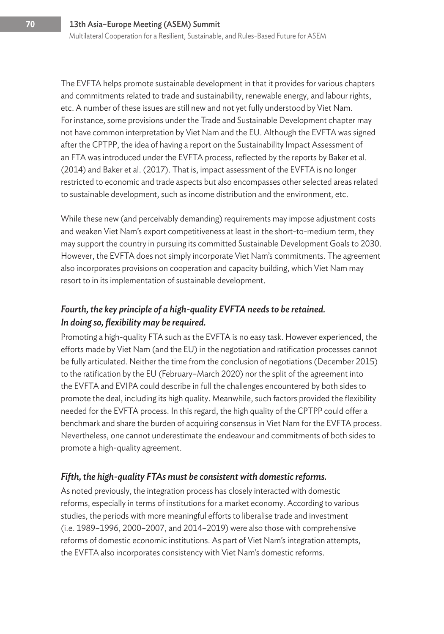The EVFTA helps promote sustainable development in that it provides for various chapters and commitments related to trade and sustainability, renewable energy, and labour rights, etc. A number of these issues are still new and not yet fully understood by Viet Nam. For instance, some provisions under the Trade and Sustainable Development chapter may not have common interpretation by Viet Nam and the EU. Although the EVFTA was signed after the CPTPP, the idea of having a report on the Sustainability Impact Assessment of an FTA was introduced under the EVFTA process, reflected by the reports by Baker et al. (2014) and Baker et al. (2017). That is, impact assessment of the EVFTA is no longer restricted to economic and trade aspects but also encompasses other selected areas related to sustainable development, such as income distribution and the environment, etc.

While these new (and perceivably demanding) requirements may impose adjustment costs and weaken Viet Nam's export competitiveness at least in the short-to-medium term, they may support the country in pursuing its committed Sustainable Development Goals to 2030. However, the EVFTA does not simply incorporate Viet Nam's commitments. The agreement also incorporates provisions on cooperation and capacity building, which Viet Nam may resort to in its implementation of sustainable development.

#### *Fourth, the key principle of a high-quality EVFTA needs to be retained. In doing so, flexibility may be required.*

Promoting a high-quality FTA such as the EVFTA is no easy task. However experienced, the efforts made by Viet Nam (and the EU) in the negotiation and ratification processes cannot be fully articulated. Neither the time from the conclusion of negotiations (December 2015) to the ratification by the EU (February–March 2020) nor the split of the agreement into the EVFTA and EVIPA could describe in full the challenges encountered by both sides to promote the deal, including its high quality. Meanwhile, such factors provided the flexibility needed for the EVFTA process. In this regard, the high quality of the CPTPP could offer a benchmark and share the burden of acquiring consensus in Viet Nam for the EVFTA process. Nevertheless, one cannot underestimate the endeavour and commitments of both sides to promote a high-quality agreement.

#### *Fifth, the high-quality FTAs must be consistent with domestic reforms.*

As noted previously, the integration process has closely interacted with domestic reforms, especially in terms of institutions for a market economy. According to various studies, the periods with more meaningful efforts to liberalise trade and investment (i.e. 1989–1996, 2000–2007, and 2014–2019) were also those with comprehensive reforms of domestic economic institutions. As part of Viet Nam's integration attempts, the EVFTA also incorporates consistency with Viet Nam's domestic reforms.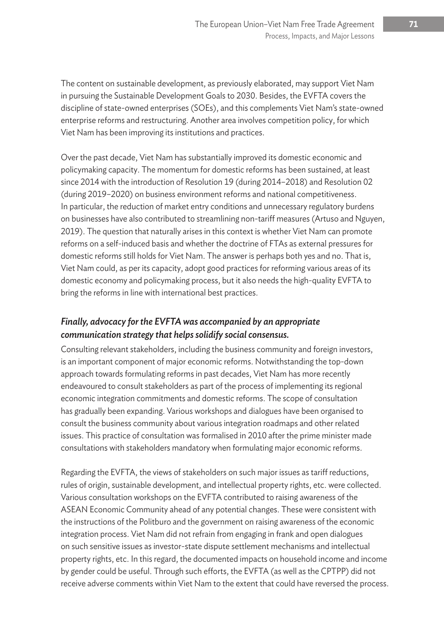The content on sustainable development, as previously elaborated, may support Viet Nam in pursuing the Sustainable Development Goals to 2030. Besides, the EVFTA covers the discipline of state-owned enterprises (SOEs), and this complements Viet Nam's state-owned enterprise reforms and restructuring. Another area involves competition policy, for which Viet Nam has been improving its institutions and practices.

Over the past decade, Viet Nam has substantially improved its domestic economic and policymaking capacity. The momentum for domestic reforms has been sustained, at least since 2014 with the introduction of Resolution 19 (during 2014–2018) and Resolution 02 (during 2019–2020) on business environment reforms and national competitiveness. In particular, the reduction of market entry conditions and unnecessary regulatory burdens on businesses have also contributed to streamlining non-tariff measures (Artuso and Nguyen, 2019). The question that naturally arises in this context is whether Viet Nam can promote reforms on a self-induced basis and whether the doctrine of FTAs as external pressures for domestic reforms still holds for Viet Nam. The answer is perhaps both yes and no. That is, Viet Nam could, as per its capacity, adopt good practices for reforming various areas of its domestic economy and policymaking process, but it also needs the high-quality EVFTA to bring the reforms in line with international best practices.

#### *Finally, advocacy for the EVFTA was accompanied by an appropriate communication strategy that helps solidify social consensus.*

Consulting relevant stakeholders, including the business community and foreign investors, is an important component of major economic reforms. Notwithstanding the top-down approach towards formulating reforms in past decades, Viet Nam has more recently endeavoured to consult stakeholders as part of the process of implementing its regional economic integration commitments and domestic reforms. The scope of consultation has gradually been expanding. Various workshops and dialogues have been organised to consult the business community about various integration roadmaps and other related issues. This practice of consultation was formalised in 2010 after the prime minister made consultations with stakeholders mandatory when formulating major economic reforms.

Regarding the EVFTA, the views of stakeholders on such major issues as tariff reductions, rules of origin, sustainable development, and intellectual property rights, etc. were collected. Various consultation workshops on the EVFTA contributed to raising awareness of the ASEAN Economic Community ahead of any potential changes. These were consistent with the instructions of the Politburo and the government on raising awareness of the economic integration process. Viet Nam did not refrain from engaging in frank and open dialogues on such sensitive issues as investor-state dispute settlement mechanisms and intellectual property rights, etc. In this regard, the documented impacts on household income and income by gender could be useful. Through such efforts, the EVFTA (as well as the CPTPP) did not receive adverse comments within Viet Nam to the extent that could have reversed the process.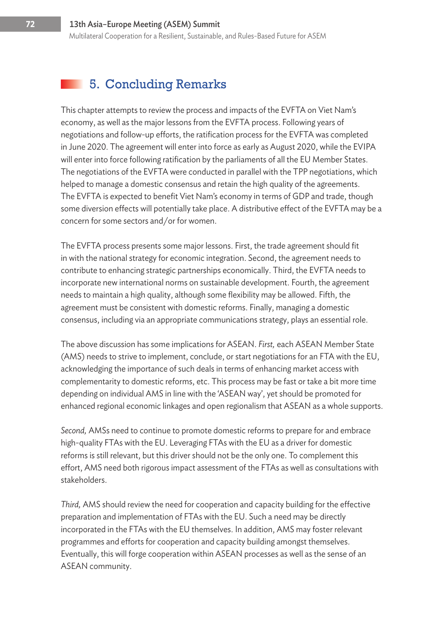Multilateral Cooperation for a Resilient, Sustainable, and Rules-Based Future for ASEM

## 5. Concluding Remarks

This chapter attempts to review the process and impacts of the EVFTA on Viet Nam's economy, as well as the major lessons from the EVFTA process. Following years of negotiations and follow-up efforts, the ratification process for the EVFTA was completed in June 2020. The agreement will enter into force as early as August 2020, while the EVIPA will enter into force following ratification by the parliaments of all the EU Member States. The negotiations of the EVFTA were conducted in parallel with the TPP negotiations, which helped to manage a domestic consensus and retain the high quality of the agreements. The EVFTA is expected to benefit Viet Nam's economy in terms of GDP and trade, though some diversion effects will potentially take place. A distributive effect of the EVFTA may be a concern for some sectors and/or for women.

The EVFTA process presents some major lessons. First, the trade agreement should fit in with the national strategy for economic integration. Second, the agreement needs to contribute to enhancing strategic partnerships economically. Third, the EVFTA needs to incorporate new international norms on sustainable development. Fourth, the agreement needs to maintain a high quality, although some flexibility may be allowed. Fifth, the agreement must be consistent with domestic reforms. Finally, managing a domestic consensus, including via an appropriate communications strategy, plays an essential role.

The above discussion has some implications for ASEAN. *First,* each ASEAN Member State (AMS) needs to strive to implement, conclude, or start negotiations for an FTA with the EU, acknowledging the importance of such deals in terms of enhancing market access with complementarity to domestic reforms, etc. This process may be fast or take a bit more time depending on individual AMS in line with the 'ASEAN way', yet should be promoted for enhanced regional economic linkages and open regionalism that ASEAN as a whole supports.

*Second,* AMSs need to continue to promote domestic reforms to prepare for and embrace high-quality FTAs with the EU. Leveraging FTAs with the EU as a driver for domestic reforms is still relevant, but this driver should not be the only one. To complement this effort, AMS need both rigorous impact assessment of the FTAs as well as consultations with stakeholders.

*Third,* AMS should review the need for cooperation and capacity building for the effective preparation and implementation of FTAs with the EU. Such a need may be directly incorporated in the FTAs with the EU themselves. In addition, AMS may foster relevant programmes and efforts for cooperation and capacity building amongst themselves. Eventually, this will forge cooperation within ASEAN processes as well as the sense of an ASEAN community.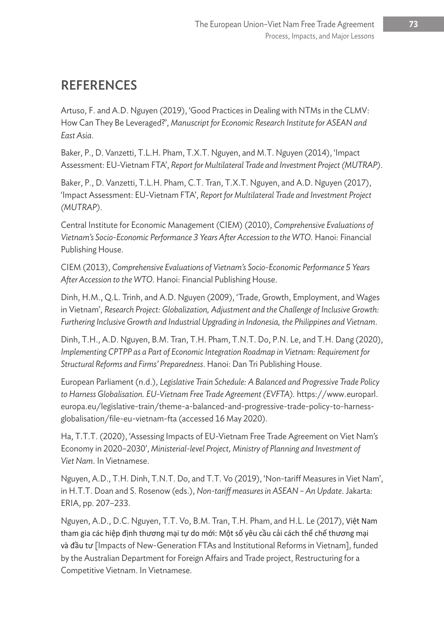## **REFERENCES**

Artuso, F. and A.D. Nguyen (2019), 'Good Practices in Dealing with NTMs in the CLMV: How Can They Be Leveraged?', *Manuscript for Economic Research Institute for ASEAN and East Asia*.

Baker, P., D. Vanzetti, T.L.H. Pham, T.X.T. Nguyen, and M.T. Nguyen (2014), 'Impact Assessment: EU-Vietnam FTA', *Report for Multilateral Trade and Investment Project (MUTRAP)*.

Baker, P., D. Vanzetti, T.L.H. Pham, C.T. Tran, T.X.T. Nguyen, and A.D. Nguyen (2017), 'Impact Assessment: EU-Vietnam FTA', *Report for Multilateral Trade and Investment Project (MUTRAP)*.

Central Institute for Economic Management (CIEM) (2010), *Comprehensive Evaluations of*  Vietnam's Socio-Economic Performance 3 Years After Accession to the WTO. Hanoi: Financial Publishing House.

CIEM (2013), *Comprehensive Evaluations of Vietnam's Socio-Economic Performance 5 Years After Accession to the WTO.* Hanoi: Financial Publishing House.

Dinh, H.M., Q.L. Trinh, and A.D. Nguyen (2009), 'Trade, Growth, Employment, and Wages in Vietnam', *Research Project: Globalization, Adjustment and the Challenge of Inclusive Growth: Furthering Inclusive Growth and Industrial Upgrading in Indonesia, the Philippines and Vietnam*.

Dinh, T.H., A.D. Nguyen, B.M. Tran, T.H. Pham, T.N.T. Do, P.N. Le, and T.H. Dang (2020), *Implementing CPTPP as a Part of Economic Integration Roadmap in Vietnam: Requirement for Structural Reforms and Firms' Preparedness*. Hanoi: Dan Tri Publishing House.

European Parliament (n.d.), *Legislative Train Schedule: A Balanced and Progressive Trade Policy to Harness Globalisation. EU-Vietnam Free Trade Agreement (EVFTA).* https://www.europarl. europa.eu/legislative-train/theme-a-balanced-and-progressive-trade-policy-to-harnessglobalisation/file-eu-vietnam-fta (accessed 16 May 2020).

Ha, T.T.T. (2020), 'Assessing Impacts of EU-Vietnam Free Trade Agreement on Viet Nam's Economy in 2020–2030', *Ministerial-level Project, Ministry of Planning and Investment of Viet Nam*. In Vietnamese.

Nguyen, A.D., T.H. Dinh, T.N.T. Do, and T.T. Vo (2019), 'Non-tariff Measures in Viet Nam', in H.T.T. Doan and S. Rosenow (eds.), *Non-tariff measures in ASEAN – An Update*. Jakarta: ERIA, pp. 207–233.

Nguyen, A.D., D.C. Nguyen, T.T. Vo, B.M. Tran, T.H. Pham, and H.L. Le (2017), Việt Nam tham gia các hiệp định thương mại tự do mới: Một số yêu cầu cải cách thể chế thương mại và đầu tư [Impacts of New-Generation FTAs and Institutional Reforms in Vietnam], funded by the Australian Department for Foreign Affairs and Trade project, Restructuring for a Competitive Vietnam. In Vietnamese.